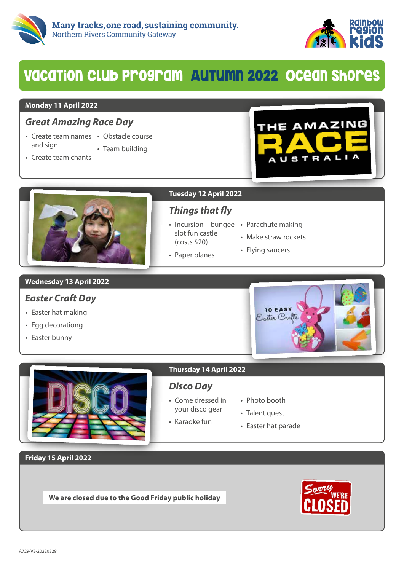



## VacaTion Club program AuTumn 2022 Ocean Shores

#### **Monday 11 April 2022**

## *Great Amazing Race Day*

- Create team names Obstacle course and sign
	- Team building
- Create team chants





## **Tuesday 12 April 2022**

## *Things that fly*

• Incursion - bungee • Parachute making slot fun castle (costs \$20)

• Paper planes

- 
- Make straw rockets
- Flying saucers

### **Wednesday 13 April 2022**

## *Easter Craft Day*

- Easter hat making
- Egg decorationg
- Easter bunny





## *Disco Day*

- Come dressed in your disco gear
- Photo booth
- Talent quest
- Karaoke fun
- Easter hat parade

**Friday 15 April 2022**

**We are closed due to the Good Friday public holiday**

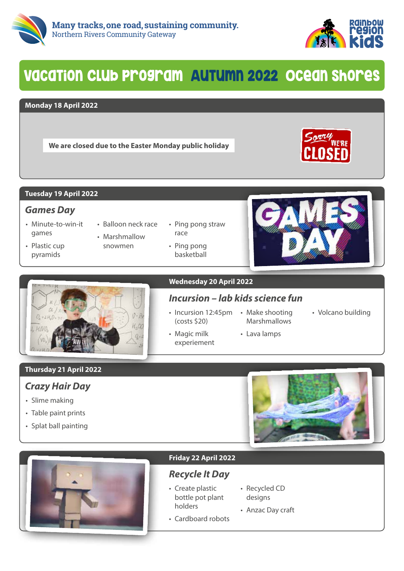



## VacaTion Club program AuTumn 2022 Ocean Shores

#### **Monday 18 April 2022**

**We are closed due to the Easter Monday public holiday**



#### **Tuesday 19 April 2022**

### *Games Day*

- Minute-to-win-it games
- Plastic cup pyramids
- Balloon neck race • Marshmallow
- snowmen
- Ping pong straw race
- Ping pong basketball





#### **Wednesday 20 April 2022**

## *Incursion – lab kids science fun*

• Incursion 12:45pm • Make shooting (costs \$20)

• Magic milk experiement

- Marshmallows • Lava lamps
- Volcano building

### **Thursday 21 April 2022**

## *Crazy Hair Day*

- Slime making
- Table paint prints
- Splat ball painting





#### **Friday 22 April 2022**

## *Recycle It Day*

- Create plastic bottle pot plant holders
- Recycled CD designs
- Cardboard robots • Anzac Day craft